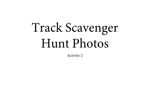## Track Scavenger Hunt Photos

Activity 2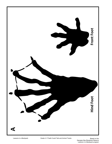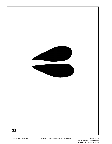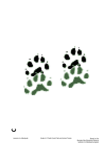



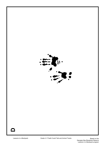

**D**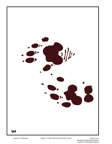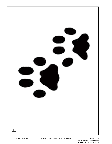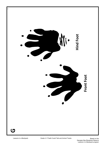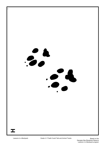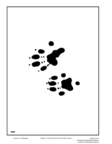